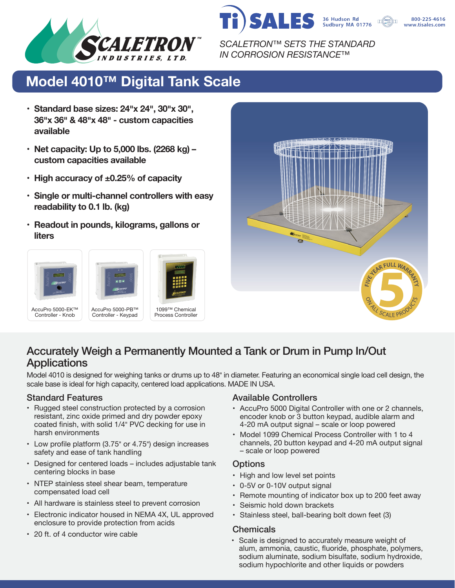



800-225-4616 www.tisales.com

*SCALETRON™ SETS THE STANDARD IN CORROSION RESISTANCE™*

# **Model 4010™ Digital Tank Scale**

- **• Standard base sizes: 24�x 24�, 30�x 30�, 36�x 36� & 48�x 48� - custom capacities available**
- **• Net capacity: Up to 5,000 lbs. (2268 kg) – custom capacities available**
- **• High accuracy of ±0.25% of capacity**
- **• Single or multi-channel controllers with easy readability to 0.1 lb. (kg)**
- **• Readout in pounds, kilograms, gallons or liters**





### Accurately Weigh a Permanently Mounted a Tank or Drum in Pump In/Out **Applications**

Model 4010 is designed for weighing tanks or drums up to 48" in diameter. Featuring an economical single load cell design, the scale base is ideal for high capacity, centered load applications. MADE IN USA.

- Rugged steel construction protected by a corrosion resistant, zinc oxide primed and dry powder epoxy coated finish, with solid 1/4" PVC decking for use in harsh environments
- Low profile platform (3.75" or 4.75") design increases safety and ease of tank handling
- Designed for centered loads includes adjustable tank centering blocks in base
- NTEP stainless steel shear beam, temperature compensated load cell
- All hardware is stainless steel to prevent corrosion
- Electronic indicator housed in NEMA 4X, UL approved enclosure to provide protection from acids
- 20 ft. of 4 conductor wire cable

### Standard Features **Available Controllers** Available Controllers

- AccuPro 5000 Digital Controller with one or 2 channels, encoder knob or 3 button keypad, audible alarm and 4-20 mA output signal – scale or loop powered
- Model 1099 Chemical Process Controller with 1 to 4 channels, 20 button keypad and 4-20 mA output signal – scale or loop powered

### **Options**

- High and low level set points
- 0-5V or 0-10V output signal
- Remote mounting of indicator box up to 200 feet away
- Seismic hold down brackets
- Stainless steel, ball-bearing bolt down feet (3)

### **Chemicals**

• Scale is designed to accurately measure weight of alum, ammonia, caustic, fluoride, phosphate, polymers, sodium aluminate, sodium bisulfate, sodium hydroxide, sodium hypochlorite and other liquids or powders